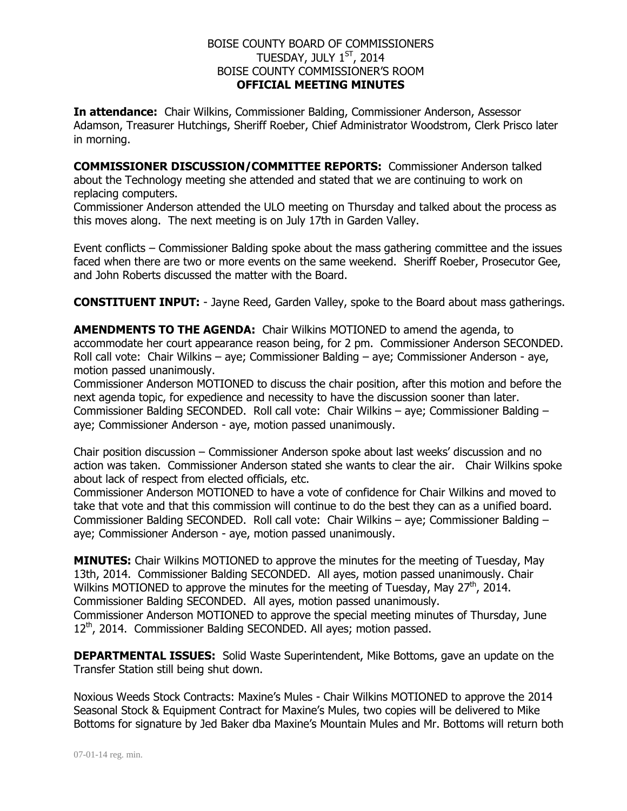## BOISE COUNTY BOARD OF COMMISSIONERS TUESDAY, JULY  $1^\mathrm{ST}$ , 2014 BOISE COUNTY COMMISSIONER'S ROOM **OFFICIAL MEETING MINUTES**

**In attendance:** Chair Wilkins, Commissioner Balding, Commissioner Anderson, Assessor Adamson, Treasurer Hutchings, Sheriff Roeber, Chief Administrator Woodstrom, Clerk Prisco later in morning.

**COMMISSIONER DISCUSSION/COMMITTEE REPORTS:** Commissioner Anderson talked about the Technology meeting she attended and stated that we are continuing to work on replacing computers.

Commissioner Anderson attended the ULO meeting on Thursday and talked about the process as this moves along. The next meeting is on July 17th in Garden Valley.

Event conflicts – Commissioner Balding spoke about the mass gathering committee and the issues faced when there are two or more events on the same weekend. Sheriff Roeber, Prosecutor Gee, and John Roberts discussed the matter with the Board.

**CONSTITUENT INPUT:** - Jayne Reed, Garden Valley, spoke to the Board about mass gatherings.

**AMENDMENTS TO THE AGENDA:** Chair Wilkins MOTIONED to amend the agenda, to accommodate her court appearance reason being, for 2 pm. Commissioner Anderson SECONDED. Roll call vote: Chair Wilkins – aye; Commissioner Balding – aye; Commissioner Anderson - aye, motion passed unanimously.

Commissioner Anderson MOTIONED to discuss the chair position, after this motion and before the next agenda topic, for expedience and necessity to have the discussion sooner than later. Commissioner Balding SECONDED. Roll call vote: Chair Wilkins – aye; Commissioner Balding – aye; Commissioner Anderson - aye, motion passed unanimously.

Chair position discussion – Commissioner Anderson spoke about last weeks' discussion and no action was taken. Commissioner Anderson stated she wants to clear the air. Chair Wilkins spoke about lack of respect from elected officials, etc.

Commissioner Anderson MOTIONED to have a vote of confidence for Chair Wilkins and moved to take that vote and that this commission will continue to do the best they can as a unified board. Commissioner Balding SECONDED. Roll call vote: Chair Wilkins – aye; Commissioner Balding – aye; Commissioner Anderson - aye, motion passed unanimously.

**MINUTES:** Chair Wilkins MOTIONED to approve the minutes for the meeting of Tuesday, May 13th, 2014. Commissioner Balding SECONDED. All ayes, motion passed unanimously. Chair Wilkins MOTIONED to approve the minutes for the meeting of Tuesday, May  $27<sup>th</sup>$ , 2014. Commissioner Balding SECONDED. All ayes, motion passed unanimously. Commissioner Anderson MOTIONED to approve the special meeting minutes of Thursday, June 12<sup>th</sup>, 2014. Commissioner Balding SECONDED. All ayes; motion passed.

**DEPARTMENTAL ISSUES:** Solid Waste Superintendent, Mike Bottoms, gave an update on the Transfer Station still being shut down.

Noxious Weeds Stock Contracts: Maxine's Mules - Chair Wilkins MOTIONED to approve the 2014 Seasonal Stock & Equipment Contract for Maxine's Mules, two copies will be delivered to Mike Bottoms for signature by Jed Baker dba Maxine's Mountain Mules and Mr. Bottoms will return both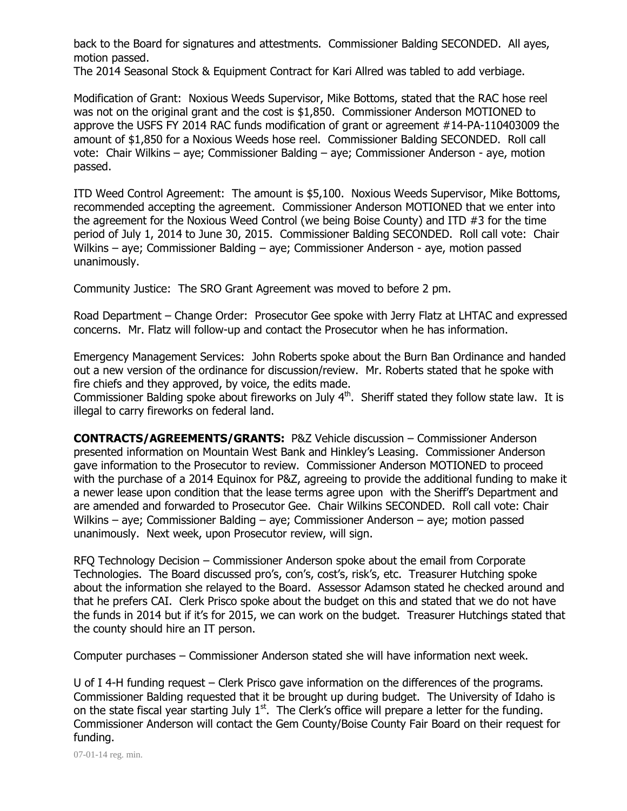back to the Board for signatures and attestments. Commissioner Balding SECONDED. All ayes, motion passed.

The 2014 Seasonal Stock & Equipment Contract for Kari Allred was tabled to add verbiage.

Modification of Grant: Noxious Weeds Supervisor, Mike Bottoms, stated that the RAC hose reel was not on the original grant and the cost is \$1,850. Commissioner Anderson MOTIONED to approve the USFS FY 2014 RAC funds modification of grant or agreement #14-PA-110403009 the amount of \$1,850 for a Noxious Weeds hose reel. Commissioner Balding SECONDED. Roll call vote: Chair Wilkins – aye; Commissioner Balding – aye; Commissioner Anderson - aye, motion passed.

ITD Weed Control Agreement: The amount is \$5,100. Noxious Weeds Supervisor, Mike Bottoms, recommended accepting the agreement. Commissioner Anderson MOTIONED that we enter into the agreement for the Noxious Weed Control (we being Boise County) and ITD #3 for the time period of July 1, 2014 to June 30, 2015. Commissioner Balding SECONDED. Roll call vote: Chair Wilkins – aye; Commissioner Balding – aye; Commissioner Anderson - aye, motion passed unanimously.

Community Justice: The SRO Grant Agreement was moved to before 2 pm.

Road Department – Change Order: Prosecutor Gee spoke with Jerry Flatz at LHTAC and expressed concerns. Mr. Flatz will follow-up and contact the Prosecutor when he has information.

Emergency Management Services: John Roberts spoke about the Burn Ban Ordinance and handed out a new version of the ordinance for discussion/review. Mr. Roberts stated that he spoke with fire chiefs and they approved, by voice, the edits made.

Commissioner Balding spoke about fireworks on July  $4<sup>th</sup>$ . Sheriff stated they follow state law. It is illegal to carry fireworks on federal land.

**CONTRACTS/AGREEMENTS/GRANTS:** P&Z Vehicle discussion – Commissioner Anderson presented information on Mountain West Bank and Hinkley's Leasing. Commissioner Anderson gave information to the Prosecutor to review. Commissioner Anderson MOTIONED to proceed with the purchase of a 2014 Equinox for P&Z, agreeing to provide the additional funding to make it a newer lease upon condition that the lease terms agree upon with the Sheriff's Department and are amended and forwarded to Prosecutor Gee. Chair Wilkins SECONDED. Roll call vote: Chair Wilkins – aye; Commissioner Balding – aye; Commissioner Anderson – aye; motion passed unanimously. Next week, upon Prosecutor review, will sign.

RFQ Technology Decision – Commissioner Anderson spoke about the email from Corporate Technologies. The Board discussed pro's, con's, cost's, risk's, etc. Treasurer Hutching spoke about the information she relayed to the Board. Assessor Adamson stated he checked around and that he prefers CAI. Clerk Prisco spoke about the budget on this and stated that we do not have the funds in 2014 but if it's for 2015, we can work on the budget. Treasurer Hutchings stated that the county should hire an IT person.

Computer purchases – Commissioner Anderson stated she will have information next week.

U of I 4-H funding request – Clerk Prisco gave information on the differences of the programs. Commissioner Balding requested that it be brought up during budget. The University of Idaho is on the state fiscal year starting July  $1<sup>st</sup>$ . The Clerk's office will prepare a letter for the funding. Commissioner Anderson will contact the Gem County/Boise County Fair Board on their request for funding.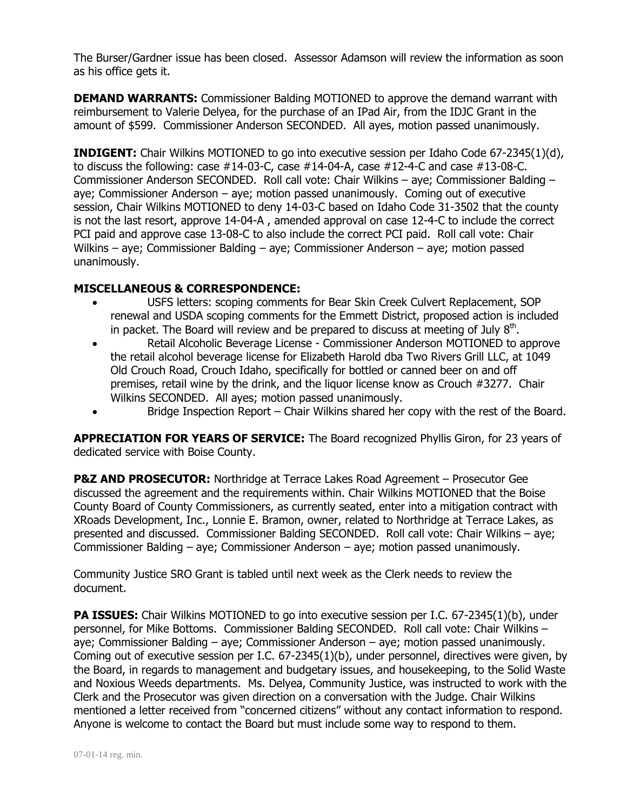The Burser/Gardner issue has been closed. Assessor Adamson will review the information as soon as his office gets it.

**DEMAND WARRANTS:** Commissioner Balding MOTIONED to approve the demand warrant with reimbursement to Valerie Delyea, for the purchase of an IPad Air, from the IDJC Grant in the amount of \$599. Commissioner Anderson SECONDED. All ayes, motion passed unanimously.

**INDIGENT:** Chair Wilkins MOTIONED to go into executive session per Idaho Code 67-2345(1)(d), to discuss the following: case  $#14-03-C$ , case  $#14-04-A$ , case  $#12-4-C$  and case  $#13-08-C$ . Commissioner Anderson SECONDED. Roll call vote: Chair Wilkins – aye; Commissioner Balding – aye; Commissioner Anderson – aye; motion passed unanimously. Coming out of executive session, Chair Wilkins MOTIONED to deny 14-03-C based on Idaho Code 31-3502 that the county is not the last resort, approve 14-04-A , amended approval on case 12-4-C to include the correct PCI paid and approve case 13-08-C to also include the correct PCI paid. Roll call vote: Chair Wilkins – aye; Commissioner Balding – aye; Commissioner Anderson – aye; motion passed unanimously.

## **MISCELLANEOUS & CORRESPONDENCE:**

- USFS letters: scoping comments for Bear Skin Creek Culvert Replacement, SOP renewal and USDA scoping comments for the Emmett District, proposed action is included in packet. The Board will review and be prepared to discuss at meeting of July  $8<sup>th</sup>$ .
- Retail Alcoholic Beverage License Commissioner Anderson MOTIONED to approve the retail alcohol beverage license for Elizabeth Harold dba Two Rivers Grill LLC, at 1049 Old Crouch Road, Crouch Idaho, specifically for bottled or canned beer on and off premises, retail wine by the drink, and the liquor license know as Crouch #3277. Chair Wilkins SECONDED. All ayes; motion passed unanimously.
- Bridge Inspection Report Chair Wilkins shared her copy with the rest of the Board.

**APPRECIATION FOR YEARS OF SERVICE:** The Board recognized Phyllis Giron, for 23 years of dedicated service with Boise County.

**P&Z AND PROSECUTOR:** Northridge at Terrace Lakes Road Agreement – Prosecutor Gee discussed the agreement and the requirements within. Chair Wilkins MOTIONED that the Boise County Board of County Commissioners, as currently seated, enter into a mitigation contract with XRoads Development, Inc., Lonnie E. Bramon, owner, related to Northridge at Terrace Lakes, as presented and discussed. Commissioner Balding SECONDED. Roll call vote: Chair Wilkins – aye; Commissioner Balding – aye; Commissioner Anderson – aye; motion passed unanimously.

Community Justice SRO Grant is tabled until next week as the Clerk needs to review the document.

**PA ISSUES:** Chair Wilkins MOTIONED to go into executive session per I.C. 67-2345(1)(b), under personnel, for Mike Bottoms. Commissioner Balding SECONDED. Roll call vote: Chair Wilkins – aye; Commissioner Balding – aye; Commissioner Anderson – aye; motion passed unanimously. Coming out of executive session per I.C. 67-2345(1)(b), under personnel, directives were given, by the Board, in regards to management and budgetary issues, and housekeeping, to the Solid Waste and Noxious Weeds departments. Ms. Delyea, Community Justice, was instructed to work with the Clerk and the Prosecutor was given direction on a conversation with the Judge. Chair Wilkins mentioned a letter received from "concerned citizens" without any contact information to respond. Anyone is welcome to contact the Board but must include some way to respond to them.